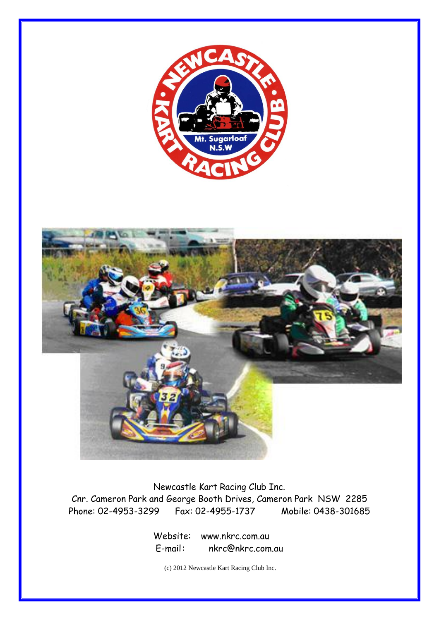



Newcastle Kart Racing Club Inc. Cnr. Cameron Park and George Booth Drives, Cameron Park NSW 2285 Phone: 02-4953-3299 Fax: 02-4955-1737 Mobile: 0438-301685

> Website: www.nkrc.com.au E-mail: nkrc@nkrc.com.au

(c) 2012 Newcastle Kart Racing Club Inc.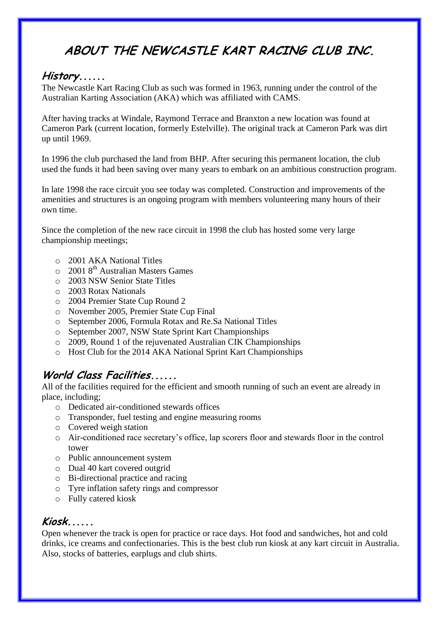# **ABOUT THE NEWCASTLE KART RACING CLUB INC.**

#### **History......**

The Newcastle Kart Racing Club as such was formed in 1963, running under the control of the Australian Karting Association (AKA) which was affiliated with CAMS.

After having tracks at Windale, Raymond Terrace and Branxton a new location was found at Cameron Park (current location, formerly Estelville). The original track at Cameron Park was dirt up until 1969.

In 1996 the club purchased the land from BHP. After securing this permanent location, the club used the funds it had been saving over many years to embark on an ambitious construction program.

In late 1998 the race circuit you see today was completed. Construction and improvements of the amenities and structures is an ongoing program with members volunteering many hours of their own time.

Since the completion of the new race circuit in 1998 the club has hosted some very large championship meetings;

- o 2001 AKA National Titles
- $\Omega$  2001 8<sup>th</sup> Australian Masters Games
- o 2003 NSW Senior State Titles
- o 2003 Rotax Nationals
- o 2004 Premier State Cup Round 2
- o November 2005, Premier State Cup Final
- o September 2006, Formula Rotax and Re.Sa National Titles
- o September 2007, NSW State Sprint Kart Championships
- o 2009, Round 1 of the rejuvenated Australian CIK Championships
- o Host Club for the 2014 AKA National Sprint Kart Championships

### **World Class Facilities......**

All of the facilities required for the efficient and smooth running of such an event are already in place, including;

- o Dedicated air-conditioned stewards offices
- o Transponder, fuel testing and engine measuring rooms
- o Covered weigh station
- o Air-conditioned race secretary's office, lap scorers floor and stewards floor in the control tower
- o Public announcement system
- o Dual 40 kart covered outgrid
- o Bi-directional practice and racing
- o Tyre inflation safety rings and compressor
- o Fully catered kiosk

#### **Kiosk......**

Open whenever the track is open for practice or race days. Hot food and sandwiches, hot and cold drinks, ice creams and confectionaries. This is the best club run kiosk at any kart circuit in Australia. Also, stocks of batteries, earplugs and club shirts.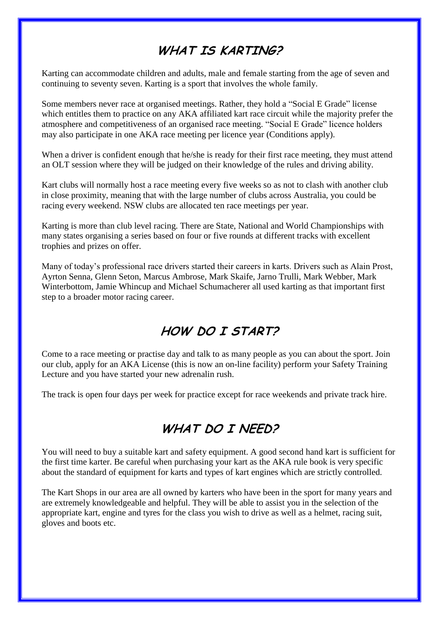## **WHAT IS KARTING?**

Karting can accommodate children and adults, male and female starting from the age of seven and continuing to seventy seven. Karting is a sport that involves the whole family.

Some members never race at organised meetings. Rather, they hold a "Social E Grade" license which entitles them to practice on any AKA affiliated kart race circuit while the majority prefer the atmosphere and competitiveness of an organised race meeting. "Social E Grade" licence holders may also participate in one AKA race meeting per licence year (Conditions apply).

When a driver is confident enough that he/she is ready for their first race meeting, they must attend an OLT session where they will be judged on their knowledge of the rules and driving ability.

Kart clubs will normally host a race meeting every five weeks so as not to clash with another club in close proximity, meaning that with the large number of clubs across Australia, you could be racing every weekend. NSW clubs are allocated ten race meetings per year.

Karting is more than club level racing. There are State, National and World Championships with many states organising a series based on four or five rounds at different tracks with excellent trophies and prizes on offer.

Many of today's professional race drivers started their careers in karts. Drivers such as Alain Prost, Ayrton Senna, Glenn Seton, Marcus Ambrose, Mark Skaife, Jarno Trulli, Mark Webber, Mark Winterbottom, Jamie Whincup and Michael Schumacherer all used karting as that important first step to a broader motor racing career.

## **HOW DO I START?**

Come to a race meeting or practise day and talk to as many people as you can about the sport. Join our club, apply for an AKA License (this is now an on-line facility) perform your Safety Training Lecture and you have started your new adrenalin rush.

The track is open four days per week for practice except for race weekends and private track hire.

# **WHAT DO I NEED?**

You will need to buy a suitable kart and safety equipment. A good second hand kart is sufficient for the first time karter. Be careful when purchasing your kart as the AKA rule book is very specific about the standard of equipment for karts and types of kart engines which are strictly controlled.

The Kart Shops in our area are all owned by karters who have been in the sport for many years and are extremely knowledgeable and helpful. They will be able to assist you in the selection of the appropriate kart, engine and tyres for the class you wish to drive as well as a helmet, racing suit, gloves and boots etc.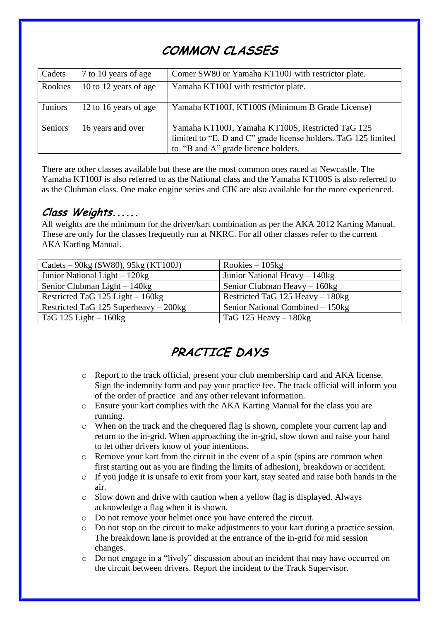## **COMMON CLASSES**

| Cadets         | 7 to 10 years of age  | Comer SW80 or Yamaha KT100J with restrictor plate.                                                                                                        |
|----------------|-----------------------|-----------------------------------------------------------------------------------------------------------------------------------------------------------|
| Rookies        | 10 to 12 years of age | Yamaha KT100J with restrictor plate.                                                                                                                      |
| <b>Juniors</b> | 12 to 16 years of age | Yamaha KT100J, KT100S (Minimum B Grade License)                                                                                                           |
| Seniors        | 16 years and over     | Yamaha KT100J, Yamaha KT100S, Restricted TaG 125<br>limited to "E, D and C" grade license holders. TaG 125 limited<br>to "B and A" grade licence holders. |

There are other classes available but these are the most common ones raced at Newcastle. The Yamaha KT100J is also referred to as the National class and the Yamaha KT100S is also referred to as the Clubman class. One make engine series and CIK are also available for the more experienced.

### **Class Weights......**

All weights are the minimum for the driver/kart combination as per the AKA 2012 Karting Manual. These are only for the classes frequently run at NKRC. For all other classes refer to the current AKA Karting Manual.

| Cadets – $90\text{kg}$ (SW80), $95\text{kg}$ (KT100J) | Rookies $-105$ kg                |
|-------------------------------------------------------|----------------------------------|
| Junior National Light - 120kg                         | Junior National Heavy - 140kg    |
| Senior Clubman Light $-140$ kg                        | Senior Clubman Heavy $-160$ kg   |
| Restricted TaG 125 Light - 160kg                      | Restricted TaG 125 Heavy - 180kg |
| Restricted TaG 125 Superheavy $-200$ kg               | Senior National Combined - 150kg |
| TaG 125 Light $-160$ kg                               | TaG 125 Heavy $-180$ kg          |

## **PRACTICE DAYS**

- o Report to the track official, present your club membership card and AKA license. Sign the indemnity form and pay your practice fee. The track official will inform you of the order of practice and any other relevant information.
- o Ensure your kart complies with the AKA Karting Manual for the class you are running.
- o When on the track and the chequered flag is shown, complete your current lap and return to the in-grid. When approaching the in-grid, slow down and raise your hand to let other drivers know of your intentions.
- o Remove your kart from the circuit in the event of a spin (spins are common when first starting out as you are finding the limits of adhesion), breakdown or accident.
- o If you judge it is unsafe to exit from your kart, stay seated and raise both hands in the air.
- o Slow down and drive with caution when a yellow flag is displayed. Always acknowledge a flag when it is shown.
- o Do not remove your helmet once you have entered the circuit.
- o Do not stop on the circuit to make adjustments to your kart during a practice session. The breakdown lane is provided at the entrance of the in-grid for mid session changes.
- o Do not engage in a "lively" discussion about an incident that may have occurred on the circuit between drivers. Report the incident to the Track Supervisor.